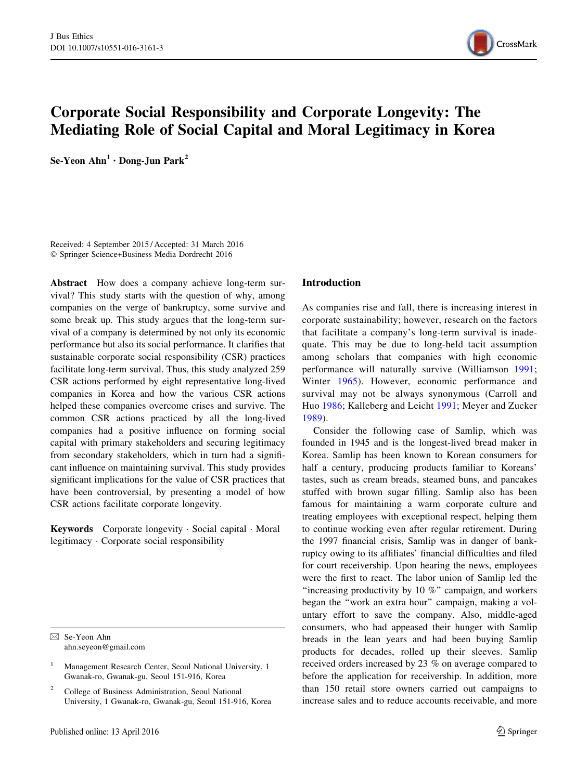

# Corporate Social Responsibility and Corporate Longevity: The Mediating Role of Social Capital and Moral Legitimacy in Korea

Se-Yeon  $Ahn<sup>1</sup> \cdot$  Dong-Jun Park<sup>2</sup>

Received: 4 September 2015 / Accepted: 31 March 2016 - Springer Science+Business Media Dordrecht 2016

Abstract How does a company achieve long-term survival? This study starts with the question of why, among companies on the verge of bankruptcy, some survive and some break up. This study argues that the long-term survival of a company is determined by not only its economic performance but also its social performance. It clarifies that sustainable corporate social responsibility (CSR) practices facilitate long-term survival. Thus, this study analyzed 259 CSR actions performed by eight representative long-lived companies in Korea and how the various CSR actions helped these companies overcome crises and survive. The common CSR actions practiced by all the long-lived companies had a positive influence on forming social capital with primary stakeholders and securing legitimacy from secondary stakeholders, which in turn had a significant influence on maintaining survival. This study provides significant implications for the value of CSR practices that have been controversial, by presenting a model of how CSR actions facilitate corporate longevity.

Keywords Corporate longevity · Social capital · Moral legitimacy - Corporate social responsibility

 $\boxtimes$  Se-Yeon Ahn ahn.seyeon@gmail.com

<sup>2</sup> College of Business Administration, Seoul National University, 1 Gwanak-ro, Gwanak-gu, Seoul 151-916, Korea

#### Introduction

As companies rise and fall, there is increasing interest in corporate sustainability; however, research on the factors that facilitate a company's long-term survival is inadequate. This may be due to long-held tacit assumption among scholars that companies with high economic performance will naturally survive (Williamson [1991](#page-17-0); Winter [1965](#page-17-0)). However, economic performance and survival may not be always synonymous (Carroll and Huo [1986;](#page-16-0) Kalleberg and Leicht [1991;](#page-16-0) Meyer and Zucker [1989\)](#page-17-0).

Consider the following case of Samlip, which was founded in 1945 and is the longest-lived bread maker in Korea. Samlip has been known to Korean consumers for half a century, producing products familiar to Koreans' tastes, such as cream breads, steamed buns, and pancakes stuffed with brown sugar filling. Samlip also has been famous for maintaining a warm corporate culture and treating employees with exceptional respect, helping them to continue working even after regular retirement. During the 1997 financial crisis, Samlip was in danger of bankruptcy owing to its affiliates' financial difficulties and filed for court receivership. Upon hearing the news, employees were the first to react. The labor union of Samlip led the ''increasing productivity by 10 %'' campaign, and workers began the ''work an extra hour'' campaign, making a voluntary effort to save the company. Also, middle-aged consumers, who had appeased their hunger with Samlip breads in the lean years and had been buying Samlip products for decades, rolled up their sleeves. Samlip received orders increased by 23 % on average compared to before the application for receivership. In addition, more than 150 retail store owners carried out campaigns to increase sales and to reduce accounts receivable, and more

<sup>1</sup> Management Research Center, Seoul National University, 1 Gwanak-ro, Gwanak-gu, Seoul 151-916, Korea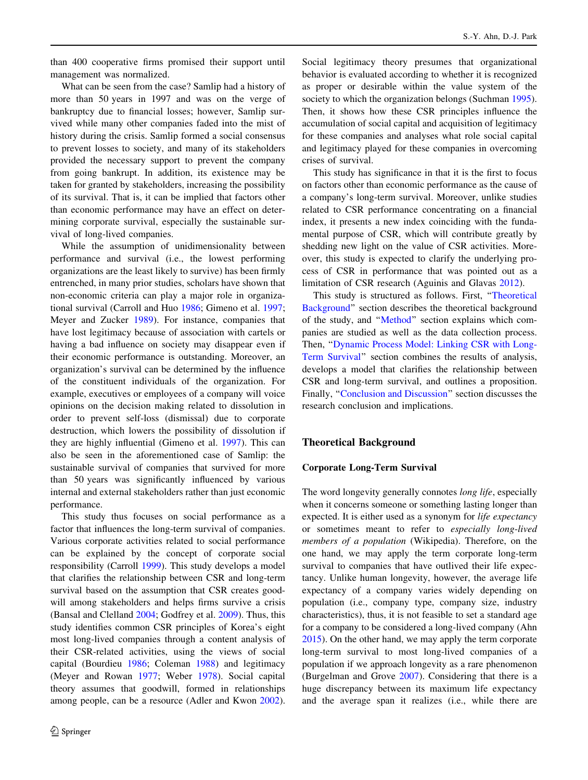than 400 cooperative firms promised their support until management was normalized.

What can be seen from the case? Samlip had a history of more than 50 years in 1997 and was on the verge of bankruptcy due to financial losses; however, Samlip survived while many other companies faded into the mist of history during the crisis. Samlip formed a social consensus to prevent losses to society, and many of its stakeholders provided the necessary support to prevent the company from going bankrupt. In addition, its existence may be taken for granted by stakeholders, increasing the possibility of its survival. That is, it can be implied that factors other than economic performance may have an effect on determining corporate survival, especially the sustainable survival of long-lived companies.

While the assumption of unidimensionality between performance and survival (i.e., the lowest performing organizations are the least likely to survive) has been firmly entrenched, in many prior studies, scholars have shown that non-economic criteria can play a major role in organizational survival (Carroll and Huo [1986](#page-16-0); Gimeno et al. [1997](#page-16-0); Meyer and Zucker [1989](#page-17-0)). For instance, companies that have lost legitimacy because of association with cartels or having a bad influence on society may disappear even if their economic performance is outstanding. Moreover, an organization's survival can be determined by the influence of the constituent individuals of the organization. For example, executives or employees of a company will voice opinions on the decision making related to dissolution in order to prevent self-loss (dismissal) due to corporate destruction, which lowers the possibility of dissolution if they are highly influential (Gimeno et al. [1997](#page-16-0)). This can also be seen in the aforementioned case of Samlip: the sustainable survival of companies that survived for more than 50 years was significantly influenced by various internal and external stakeholders rather than just economic performance.

This study thus focuses on social performance as a factor that influences the long-term survival of companies. Various corporate activities related to social performance can be explained by the concept of corporate social responsibility (Carroll [1999](#page-16-0)). This study develops a model that clarifies the relationship between CSR and long-term survival based on the assumption that CSR creates goodwill among stakeholders and helps firms survive a crisis (Bansal and Clelland [2004;](#page-15-0) Godfrey et al. [2009](#page-16-0)). Thus, this study identifies common CSR principles of Korea's eight most long-lived companies through a content analysis of their CSR-related activities, using the views of social capital (Bourdieu [1986;](#page-15-0) Coleman [1988](#page-16-0)) and legitimacy (Meyer and Rowan [1977;](#page-17-0) Weber [1978](#page-17-0)). Social capital theory assumes that goodwill, formed in relationships among people, can be a resource (Adler and Kwon [2002](#page-15-0)). Social legitimacy theory presumes that organizational behavior is evaluated according to whether it is recognized as proper or desirable within the value system of the society to which the organization belongs (Suchman [1995](#page-17-0)). Then, it shows how these CSR principles influence the accumulation of social capital and acquisition of legitimacy for these companies and analyses what role social capital and legitimacy played for these companies in overcoming crises of survival.

This study has significance in that it is the first to focus on factors other than economic performance as the cause of a company's long-term survival. Moreover, unlike studies related to CSR performance concentrating on a financial index, it presents a new index coinciding with the fundamental purpose of CSR, which will contribute greatly by shedding new light on the value of CSR activities. Moreover, this study is expected to clarify the underlying process of CSR in performance that was pointed out as a limitation of CSR research (Aguinis and Glavas [2012](#page-15-0)).

This study is structured as follows. First, ''Theoretical Background'' section describes the theoretical background of the study, and ''[Method'](#page-4-0)' section explains which companies are studied as well as the data collection process. Then, ''[Dynamic Process Model: Linking CSR with Long-](#page-9-0)[Term Survival'](#page-9-0)' section combines the results of analysis, develops a model that clarifies the relationship between CSR and long-term survival, and outlines a proposition. Finally, "Conclusion and Discussion" section discusses the research conclusion and implications.

# Theoretical Background

#### Corporate Long-Term Survival

The word longevity generally connotes *long life*, especially when it concerns someone or something lasting longer than expected. It is either used as a synonym for *life expectancy* or sometimes meant to refer to especially long-lived members of a population (Wikipedia). Therefore, on the one hand, we may apply the term corporate long-term survival to companies that have outlived their life expectancy. Unlike human longevity, however, the average life expectancy of a company varies widely depending on population (i.e., company type, company size, industry characteristics), thus, it is not feasible to set a standard age for a company to be considered a long-lived company (Ahn [2015](#page-15-0)). On the other hand, we may apply the term corporate long-term survival to most long-lived companies of a population if we approach longevity as a rare phenomenon (Burgelman and Grove [2007\)](#page-16-0). Considering that there is a huge discrepancy between its maximum life expectancy and the average span it realizes (i.e., while there are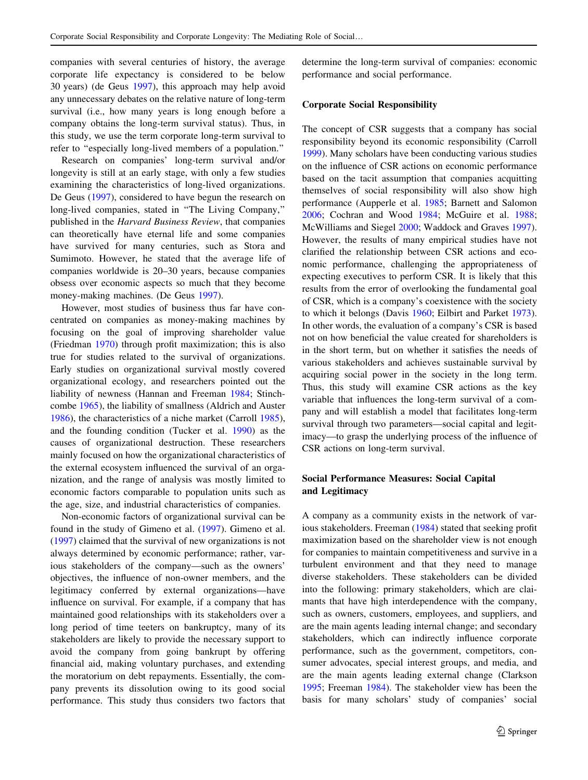companies with several centuries of history, the average corporate life expectancy is considered to be below 30 years) (de Geus [1997](#page-16-0)), this approach may help avoid any unnecessary debates on the relative nature of long-term survival (i.e., how many years is long enough before a company obtains the long-term survival status). Thus, in this study, we use the term corporate long-term survival to refer to "especially long-lived members of a population."

Research on companies' long-term survival and/or longevity is still at an early stage, with only a few studies examining the characteristics of long-lived organizations. De Geus [\(1997](#page-16-0)), considered to have begun the research on long-lived companies, stated in "The Living Company," published in the Harvard Business Review, that companies can theoretically have eternal life and some companies have survived for many centuries, such as Stora and Sumimoto. However, he stated that the average life of companies worldwide is 20–30 years, because companies obsess over economic aspects so much that they become money-making machines. (De Geus [1997\)](#page-16-0).

However, most studies of business thus far have concentrated on companies as money-making machines by focusing on the goal of improving shareholder value (Friedman [1970](#page-16-0)) through profit maximization; this is also true for studies related to the survival of organizations. Early studies on organizational survival mostly covered organizational ecology, and researchers pointed out the liability of newness (Hannan and Freeman [1984](#page-16-0); Stinchcombe [1965](#page-17-0)), the liability of smallness (Aldrich and Auster [1986\)](#page-15-0), the characteristics of a niche market (Carroll [1985](#page-16-0)), and the founding condition (Tucker et al. [1990](#page-17-0)) as the causes of organizational destruction. These researchers mainly focused on how the organizational characteristics of the external ecosystem influenced the survival of an organization, and the range of analysis was mostly limited to economic factors comparable to population units such as the age, size, and industrial characteristics of companies.

Non-economic factors of organizational survival can be found in the study of Gimeno et al. ([1997\)](#page-16-0). Gimeno et al. [\(1997](#page-16-0)) claimed that the survival of new organizations is not always determined by economic performance; rather, various stakeholders of the company—such as the owners' objectives, the influence of non-owner members, and the legitimacy conferred by external organizations—have influence on survival. For example, if a company that has maintained good relationships with its stakeholders over a long period of time teeters on bankruptcy, many of its stakeholders are likely to provide the necessary support to avoid the company from going bankrupt by offering financial aid, making voluntary purchases, and extending the moratorium on debt repayments. Essentially, the company prevents its dissolution owing to its good social performance. This study thus considers two factors that determine the long-term survival of companies: economic performance and social performance.

#### Corporate Social Responsibility

The concept of CSR suggests that a company has social responsibility beyond its economic responsibility (Carroll [1999](#page-16-0)). Many scholars have been conducting various studies on the influence of CSR actions on economic performance based on the tacit assumption that companies acquitting themselves of social responsibility will also show high performance (Aupperle et al. [1985](#page-15-0); Barnett and Salomon [2006](#page-15-0); Cochran and Wood [1984;](#page-16-0) McGuire et al. [1988](#page-17-0); McWilliams and Siegel [2000;](#page-17-0) Waddock and Graves [1997](#page-17-0)). However, the results of many empirical studies have not clarified the relationship between CSR actions and economic performance, challenging the appropriateness of expecting executives to perform CSR. It is likely that this results from the error of overlooking the fundamental goal of CSR, which is a company's coexistence with the society to which it belongs (Davis [1960](#page-16-0); Eilbirt and Parket [1973](#page-16-0)). In other words, the evaluation of a company's CSR is based not on how beneficial the value created for shareholders is in the short term, but on whether it satisfies the needs of various stakeholders and achieves sustainable survival by acquiring social power in the society in the long term. Thus, this study will examine CSR actions as the key variable that influences the long-term survival of a company and will establish a model that facilitates long-term survival through two parameters—social capital and legitimacy—to grasp the underlying process of the influence of CSR actions on long-term survival.

# Social Performance Measures: Social Capital and Legitimacy

A company as a community exists in the network of various stakeholders. Freeman ([1984\)](#page-16-0) stated that seeking profit maximization based on the shareholder view is not enough for companies to maintain competitiveness and survive in a turbulent environment and that they need to manage diverse stakeholders. These stakeholders can be divided into the following: primary stakeholders, which are claimants that have high interdependence with the company, such as owners, customers, employees, and suppliers, and are the main agents leading internal change; and secondary stakeholders, which can indirectly influence corporate performance, such as the government, competitors, consumer advocates, special interest groups, and media, and are the main agents leading external change (Clarkson [1995](#page-16-0); Freeman [1984](#page-16-0)). The stakeholder view has been the basis for many scholars' study of companies' social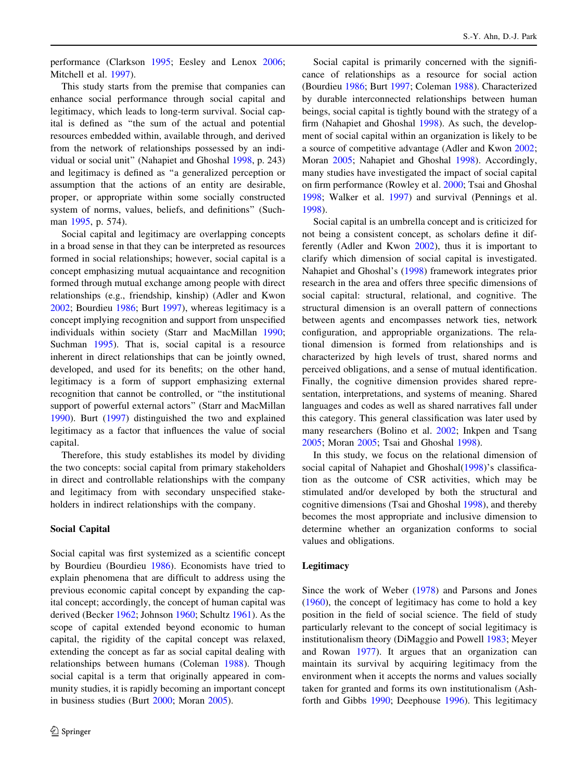performance (Clarkson [1995;](#page-16-0) Eesley and Lenox [2006](#page-16-0); Mitchell et al. [1997\)](#page-17-0).

This study starts from the premise that companies can enhance social performance through social capital and legitimacy, which leads to long-term survival. Social capital is defined as ''the sum of the actual and potential resources embedded within, available through, and derived from the network of relationships possessed by an individual or social unit'' (Nahapiet and Ghoshal [1998](#page-17-0), p. 243) and legitimacy is defined as ''a generalized perception or assumption that the actions of an entity are desirable, proper, or appropriate within some socially constructed system of norms, values, beliefs, and definitions'' (Such-man [1995,](#page-17-0) p. 574).

Social capital and legitimacy are overlapping concepts in a broad sense in that they can be interpreted as resources formed in social relationships; however, social capital is a concept emphasizing mutual acquaintance and recognition formed through mutual exchange among people with direct relationships (e.g., friendship, kinship) (Adler and Kwon [2002;](#page-15-0) Bourdieu [1986](#page-15-0); Burt [1997](#page-16-0)), whereas legitimacy is a concept implying recognition and support from unspecified individuals within society (Starr and MacMillan [1990](#page-17-0); Suchman [1995\)](#page-17-0). That is, social capital is a resource inherent in direct relationships that can be jointly owned, developed, and used for its benefits; on the other hand, legitimacy is a form of support emphasizing external recognition that cannot be controlled, or ''the institutional support of powerful external actors'' (Starr and MacMillan [1990\)](#page-17-0). Burt ([1997\)](#page-16-0) distinguished the two and explained legitimacy as a factor that influences the value of social capital.

Therefore, this study establishes its model by dividing the two concepts: social capital from primary stakeholders in direct and controllable relationships with the company and legitimacy from with secondary unspecified stakeholders in indirect relationships with the company.

## Social Capital

Social capital was first systemized as a scientific concept by Bourdieu (Bourdieu [1986\)](#page-15-0). Economists have tried to explain phenomena that are difficult to address using the previous economic capital concept by expanding the capital concept; accordingly, the concept of human capital was derived (Becker [1962](#page-15-0); Johnson [1960;](#page-16-0) Schultz [1961](#page-17-0)). As the scope of capital extended beyond economic to human capital, the rigidity of the capital concept was relaxed, extending the concept as far as social capital dealing with relationships between humans (Coleman [1988](#page-16-0)). Though social capital is a term that originally appeared in community studies, it is rapidly becoming an important concept in business studies (Burt [2000;](#page-16-0) Moran [2005\)](#page-17-0).

Social capital is primarily concerned with the significance of relationships as a resource for social action (Bourdieu [1986](#page-15-0); Burt [1997;](#page-16-0) Coleman [1988\)](#page-16-0). Characterized by durable interconnected relationships between human beings, social capital is tightly bound with the strategy of a firm (Nahapiet and Ghoshal [1998\)](#page-17-0). As such, the development of social capital within an organization is likely to be a source of competitive advantage (Adler and Kwon [2002](#page-15-0); Moran [2005](#page-17-0); Nahapiet and Ghoshal [1998](#page-17-0)). Accordingly, many studies have investigated the impact of social capital on firm performance (Rowley et al. [2000](#page-17-0); Tsai and Ghoshal [1998](#page-17-0); Walker et al. [1997](#page-17-0)) and survival (Pennings et al. [1998](#page-17-0)).

Social capital is an umbrella concept and is criticized for not being a consistent concept, as scholars define it differently (Adler and Kwon [2002](#page-15-0)), thus it is important to clarify which dimension of social capital is investigated. Nahapiet and Ghoshal's ([1998\)](#page-17-0) framework integrates prior research in the area and offers three specific dimensions of social capital: structural, relational, and cognitive. The structural dimension is an overall pattern of connections between agents and encompasses network ties, network configuration, and appropriable organizations. The relational dimension is formed from relationships and is characterized by high levels of trust, shared norms and perceived obligations, and a sense of mutual identification. Finally, the cognitive dimension provides shared representation, interpretations, and systems of meaning. Shared languages and codes as well as shared narratives fall under this category. This general classification was later used by many researchers (Bolino et al. [2002](#page-15-0); Inkpen and Tsang [2005](#page-16-0); Moran [2005](#page-17-0); Tsai and Ghoshal [1998](#page-17-0)).

In this study, we focus on the relational dimension of social capital of Nahapiet and Ghoshal[\(1998](#page-17-0))'s classification as the outcome of CSR activities, which may be stimulated and/or developed by both the structural and cognitive dimensions (Tsai and Ghoshal [1998](#page-17-0)), and thereby becomes the most appropriate and inclusive dimension to determine whether an organization conforms to social values and obligations.

## Legitimacy

Since the work of Weber [\(1978](#page-17-0)) and Parsons and Jones [\(1960](#page-17-0)), the concept of legitimacy has come to hold a key position in the field of social science. The field of study particularly relevant to the concept of social legitimacy is institutionalism theory (DiMaggio and Powell [1983;](#page-16-0) Meyer and Rowan [1977](#page-17-0)). It argues that an organization can maintain its survival by acquiring legitimacy from the environment when it accepts the norms and values socially taken for granted and forms its own institutionalism (Ashforth and Gibbs [1990](#page-15-0); Deephouse [1996](#page-16-0)). This legitimacy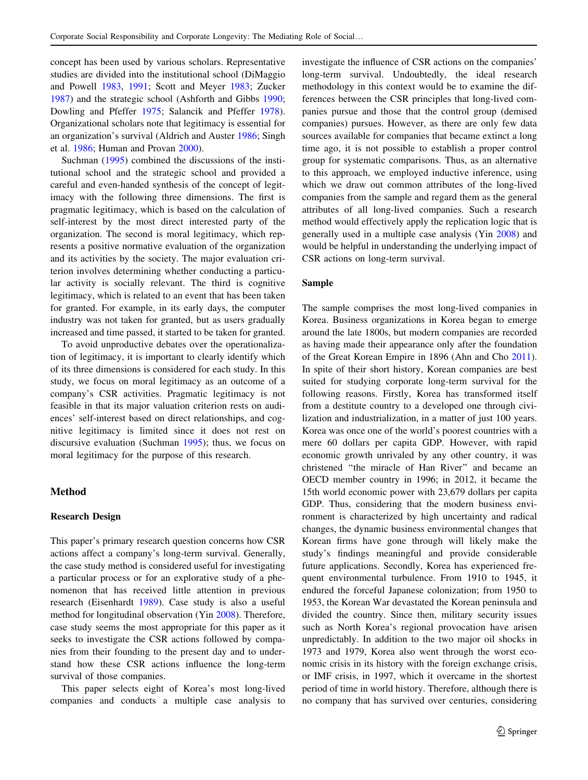<span id="page-4-0"></span>concept has been used by various scholars. Representative studies are divided into the institutional school (DiMaggio and Powell [1983,](#page-16-0) [1991](#page-16-0); Scott and Meyer [1983](#page-17-0); Zucker [1987\)](#page-17-0) and the strategic school (Ashforth and Gibbs [1990](#page-15-0); Dowling and Pfeffer [1975](#page-16-0); Salancik and Pfeffer [1978](#page-17-0)). Organizational scholars note that legitimacy is essential for an organization's survival (Aldrich and Auster [1986](#page-15-0); Singh et al. [1986;](#page-17-0) Human and Provan [2000\)](#page-16-0).

Suchman [\(1995](#page-17-0)) combined the discussions of the institutional school and the strategic school and provided a careful and even-handed synthesis of the concept of legitimacy with the following three dimensions. The first is pragmatic legitimacy, which is based on the calculation of self-interest by the most direct interested party of the organization. The second is moral legitimacy, which represents a positive normative evaluation of the organization and its activities by the society. The major evaluation criterion involves determining whether conducting a particular activity is socially relevant. The third is cognitive legitimacy, which is related to an event that has been taken for granted. For example, in its early days, the computer industry was not taken for granted, but as users gradually increased and time passed, it started to be taken for granted.

To avoid unproductive debates over the operationalization of legitimacy, it is important to clearly identify which of its three dimensions is considered for each study. In this study, we focus on moral legitimacy as an outcome of a company's CSR activities. Pragmatic legitimacy is not feasible in that its major valuation criterion rests on audiences' self-interest based on direct relationships, and cognitive legitimacy is limited since it does not rest on discursive evaluation (Suchman [1995](#page-17-0)); thus, we focus on moral legitimacy for the purpose of this research.

# Method

#### Research Design

This paper's primary research question concerns how CSR actions affect a company's long-term survival. Generally, the case study method is considered useful for investigating a particular process or for an explorative study of a phenomenon that has received little attention in previous research (Eisenhardt [1989\)](#page-16-0). Case study is also a useful method for longitudinal observation (Yin [2008\)](#page-17-0). Therefore, case study seems the most appropriate for this paper as it seeks to investigate the CSR actions followed by companies from their founding to the present day and to understand how these CSR actions influence the long-term survival of those companies.

This paper selects eight of Korea's most long-lived companies and conducts a multiple case analysis to investigate the influence of CSR actions on the companies' long-term survival. Undoubtedly, the ideal research methodology in this context would be to examine the differences between the CSR principles that long-lived companies pursue and those that the control group (demised companies) pursues. However, as there are only few data sources available for companies that became extinct a long time ago, it is not possible to establish a proper control group for systematic comparisons. Thus, as an alternative to this approach, we employed inductive inference, using which we draw out common attributes of the long-lived companies from the sample and regard them as the general attributes of all long-lived companies. Such a research method would effectively apply the replication logic that is generally used in a multiple case analysis (Yin [2008\)](#page-17-0) and would be helpful in understanding the underlying impact of CSR actions on long-term survival.

#### Sample

The sample comprises the most long-lived companies in Korea. Business organizations in Korea began to emerge around the late 1800s, but modern companies are recorded as having made their appearance only after the foundation of the Great Korean Empire in 1896 (Ahn and Cho [2011](#page-15-0)). In spite of their short history, Korean companies are best suited for studying corporate long-term survival for the following reasons. Firstly, Korea has transformed itself from a destitute country to a developed one through civilization and industrialization, in a matter of just 100 years. Korea was once one of the world's poorest countries with a mere 60 dollars per capita GDP. However, with rapid economic growth unrivaled by any other country, it was christened ''the miracle of Han River'' and became an OECD member country in 1996; in 2012, it became the 15th world economic power with 23,679 dollars per capita GDP. Thus, considering that the modern business environment is characterized by high uncertainty and radical changes, the dynamic business environmental changes that Korean firms have gone through will likely make the study's findings meaningful and provide considerable future applications. Secondly, Korea has experienced frequent environmental turbulence. From 1910 to 1945, it endured the forceful Japanese colonization; from 1950 to 1953, the Korean War devastated the Korean peninsula and divided the country. Since then, military security issues such as North Korea's regional provocation have arisen unpredictably. In addition to the two major oil shocks in 1973 and 1979, Korea also went through the worst economic crisis in its history with the foreign exchange crisis, or IMF crisis, in 1997, which it overcame in the shortest period of time in world history. Therefore, although there is no company that has survived over centuries, considering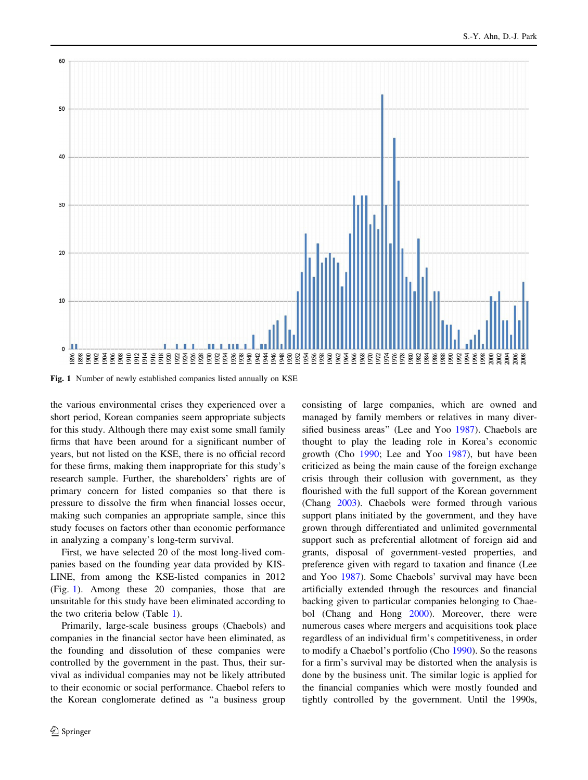

Fig. 1 Number of newly established companies listed annually on KSE

the various environmental crises they experienced over a short period, Korean companies seem appropriate subjects for this study. Although there may exist some small family firms that have been around for a significant number of years, but not listed on the KSE, there is no official record for these firms, making them inappropriate for this study's research sample. Further, the shareholders' rights are of primary concern for listed companies so that there is pressure to dissolve the firm when financial losses occur, making such companies an appropriate sample, since this study focuses on factors other than economic performance in analyzing a company's long-term survival.

First, we have selected 20 of the most long-lived companies based on the founding year data provided by KIS-LINE, from among the KSE-listed companies in 2012 (Fig. 1). Among these 20 companies, those that are unsuitable for this study have been eliminated according to the two criteria below (Table [1\)](#page-6-0).

Primarily, large-scale business groups (Chaebols) and companies in the financial sector have been eliminated, as the founding and dissolution of these companies were controlled by the government in the past. Thus, their survival as individual companies may not be likely attributed to their economic or social performance. Chaebol refers to the Korean conglomerate defined as ''a business group consisting of large companies, which are owned and managed by family members or relatives in many diversified business areas'' (Lee and Yoo [1987](#page-17-0)). Chaebols are thought to play the leading role in Korea's economic growth (Cho [1990](#page-16-0); Lee and Yoo [1987](#page-17-0)), but have been criticized as being the main cause of the foreign exchange crisis through their collusion with government, as they flourished with the full support of the Korean government (Chang [2003\)](#page-16-0). Chaebols were formed through various support plans initiated by the government, and they have grown through differentiated and unlimited governmental support such as preferential allotment of foreign aid and grants, disposal of government-vested properties, and preference given with regard to taxation and finance (Lee and Yoo [1987](#page-17-0)). Some Chaebols' survival may have been artificially extended through the resources and financial backing given to particular companies belonging to Chaebol (Chang and Hong [2000\)](#page-16-0). Moreover, there were numerous cases where mergers and acquisitions took place regardless of an individual firm's competitiveness, in order to modify a Chaebol's portfolio (Cho [1990](#page-16-0)). So the reasons for a firm's survival may be distorted when the analysis is done by the business unit. The similar logic is applied for the financial companies which were mostly founded and tightly controlled by the government. Until the 1990s,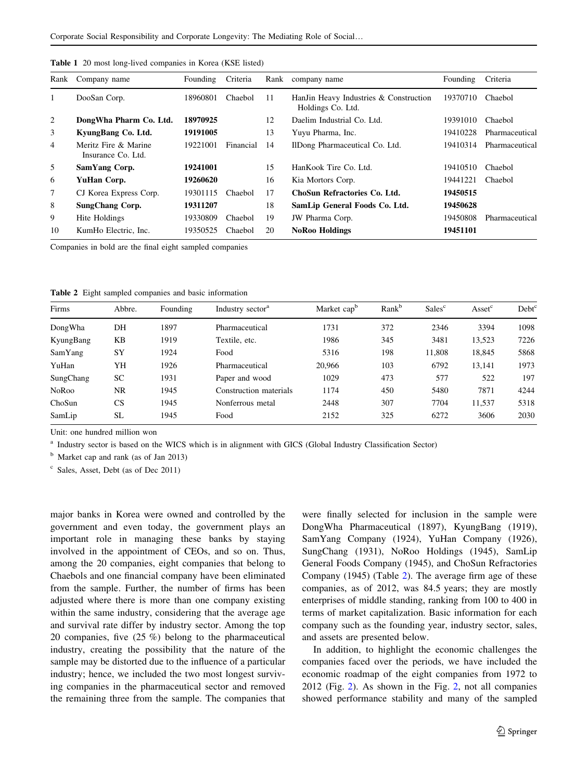| Rank | Company name                               | Founding | Criteria  | Rank | company name                                                | Founding | Criteria       |
|------|--------------------------------------------|----------|-----------|------|-------------------------------------------------------------|----------|----------------|
| 1    | DooSan Corp.                               | 18960801 | Chaebol   | 11   | HanJin Heavy Industries & Construction<br>Holdings Co. Ltd. | 19370710 | Chaebol        |
| 2    | DongWha Pharm Co. Ltd.                     | 18970925 |           | 12   | Daelim Industrial Co. Ltd.                                  | 19391010 | Chaebol        |
| 3    | KyungBang Co. Ltd.                         | 19191005 |           | 13   | Yuyu Pharma, Inc.                                           | 19410228 | Pharmaceutical |
| 4    | Meritz Fire & Marine<br>Insurance Co. Ltd. | 19221001 | Financial | 14   | IlDong Pharmaceutical Co. Ltd.                              | 19410314 | Pharmaceutical |
| 5    | SamYang Corp.                              | 19241001 |           | 15   | HanKook Tire Co. Ltd.                                       | 19410510 | Chaebol        |
| 6    | YuHan Corp.                                | 19260620 |           | 16   | Kia Mortors Corp.                                           | 19441221 | Chaebol        |
| 7    | CJ Korea Express Corp.                     | 19301115 | Chaebol   | 17   | ChoSun Refractories Co. Ltd.                                | 19450515 |                |
| 8    | <b>SungChang Corp.</b>                     | 19311207 |           | 18   | SamLip General Foods Co. Ltd.                               | 19450628 |                |
| 9    | Hite Holdings                              | 19330809 | Chaebol   | 19   | JW Pharma Corp.                                             | 19450808 | Pharmaceutical |
| 10   | KumHo Electric, Inc.                       | 19350525 | Chaebol   | 20   | <b>NoRoo Holdings</b>                                       | 19451101 |                |

<span id="page-6-0"></span>Table 1 20 most long-lived companies in Korea (KSE listed)

Companies in bold are the final eight sampled companies

|  |  |  |  |  |  | Table 2 Eight sampled companies and basic information |
|--|--|--|--|--|--|-------------------------------------------------------|
|--|--|--|--|--|--|-------------------------------------------------------|

| Firms        | Abbre.    | Founding | Industry sector <sup>a</sup> | Market cap <sup>b</sup> | Rank <sup>b</sup> | Sales <sup>c</sup> | Asset <sup>c</sup> | Debt <sup>c</sup> |
|--------------|-----------|----------|------------------------------|-------------------------|-------------------|--------------------|--------------------|-------------------|
| DongWha      | DH        | 1897     | Pharmaceutical               | 1731                    | 372               | 2346               | 3394               | 1098              |
| KyungBang    | KB        | 1919     | Textile, etc.                | 1986                    | 345               | 3481               | 13,523             | 7226              |
| SamYang      | <b>SY</b> | 1924     | Food                         | 5316                    | 198               | 11.808             | 18,845             | 5868              |
| YuHan        | YH        | 1926     | Pharmaceutical               | 20,966                  | 103               | 6792               | 13,141             | 1973              |
| SungChang    | SC        | 1931     | Paper and wood               | 1029                    | 473               | 577                | 522                | 197               |
| <b>NoRoo</b> | NR        | 1945     | Construction materials       | 1174                    | 450               | 5480               | 7871               | 4244              |
| ChoSun       | CS        | 1945     | Nonferrous metal             | 2448                    | 307               | 7704               | 11,537             | 5318              |
| SamLip       | <b>SL</b> | 1945     | Food                         | 2152                    | 325               | 6272               | 3606               | 2030              |

Unit: one hundred million won

<sup>a</sup> Industry sector is based on the WICS which is in alignment with GICS (Global Industry Classification Sector)

<sup>b</sup> Market cap and rank (as of Jan 2013)

<sup>c</sup> Sales, Asset, Debt (as of Dec 2011)

major banks in Korea were owned and controlled by the government and even today, the government plays an important role in managing these banks by staying involved in the appointment of CEOs, and so on. Thus, among the 20 companies, eight companies that belong to Chaebols and one financial company have been eliminated from the sample. Further, the number of firms has been adjusted where there is more than one company existing within the same industry, considering that the average age and survival rate differ by industry sector. Among the top 20 companies, five (25 %) belong to the pharmaceutical industry, creating the possibility that the nature of the sample may be distorted due to the influence of a particular industry; hence, we included the two most longest surviving companies in the pharmaceutical sector and removed the remaining three from the sample. The companies that

were finally selected for inclusion in the sample were DongWha Pharmaceutical (1897), KyungBang (1919), SamYang Company (1924), YuHan Company (1926), SungChang (1931), NoRoo Holdings (1945), SamLip General Foods Company (1945), and ChoSun Refractories Company (1945) (Table 2). The average firm age of these companies, as of 2012, was 84.5 years; they are mostly enterprises of middle standing, ranking from 100 to 400 in terms of market capitalization. Basic information for each company such as the founding year, industry sector, sales, and assets are presented below.

In addition, to highlight the economic challenges the companies faced over the periods, we have included the economic roadmap of the eight companies from 1972 to 2012 (Fig. [2](#page-7-0)). As shown in the Fig. [2](#page-7-0), not all companies showed performance stability and many of the sampled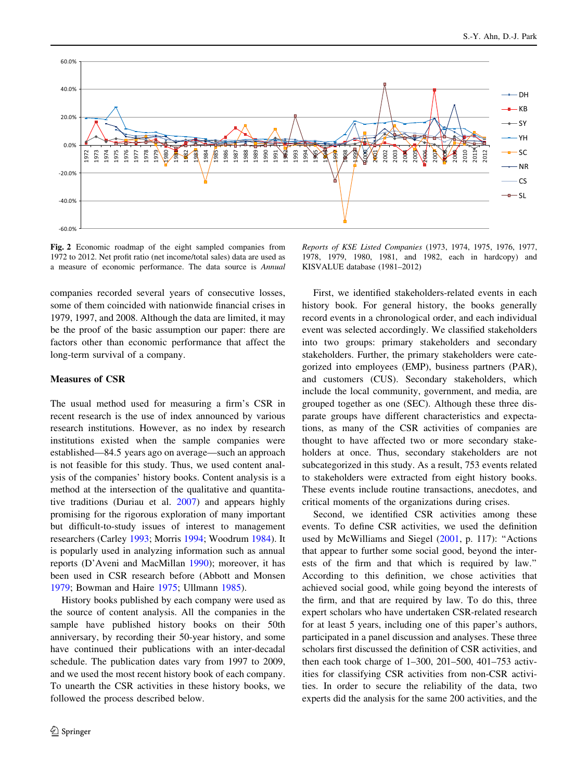<span id="page-7-0"></span>

Fig. 2 Economic roadmap of the eight sampled companies from 1972 to 2012. Net profit ratio (net income/total sales) data are used as a measure of economic performance. The data source is Annual

companies recorded several years of consecutive losses, some of them coincided with nationwide financial crises in 1979, 1997, and 2008. Although the data are limited, it may be the proof of the basic assumption our paper: there are factors other than economic performance that affect the long-term survival of a company.

#### Measures of CSR

The usual method used for measuring a firm's CSR in recent research is the use of index announced by various research institutions. However, as no index by research institutions existed when the sample companies were established—84.5 years ago on average—such an approach is not feasible for this study. Thus, we used content analysis of the companies' history books. Content analysis is a method at the intersection of the qualitative and quantitative traditions (Duriau et al. [2007](#page-16-0)) and appears highly promising for the rigorous exploration of many important but difficult-to-study issues of interest to management researchers (Carley [1993](#page-16-0); Morris [1994](#page-17-0); Woodrum [1984\)](#page-17-0). It is popularly used in analyzing information such as annual reports (D'Aveni and MacMillan [1990\)](#page-16-0); moreover, it has been used in CSR research before (Abbott and Monsen [1979;](#page-15-0) Bowman and Haire [1975;](#page-15-0) Ullmann [1985](#page-17-0)).

History books published by each company were used as the source of content analysis. All the companies in the sample have published history books on their 50th anniversary, by recording their 50-year history, and some have continued their publications with an inter-decadal schedule. The publication dates vary from 1997 to 2009, and we used the most recent history book of each company. To unearth the CSR activities in these history books, we followed the process described below.

Reports of KSE Listed Companies (1973, 1974, 1975, 1976, 1977, 1978, 1979, 1980, 1981, and 1982, each in hardcopy) and KISVALUE database (1981–2012)

First, we identified stakeholders-related events in each history book. For general history, the books generally record events in a chronological order, and each individual event was selected accordingly. We classified stakeholders into two groups: primary stakeholders and secondary stakeholders. Further, the primary stakeholders were categorized into employees (EMP), business partners (PAR), and customers (CUS). Secondary stakeholders, which include the local community, government, and media, are grouped together as one (SEC). Although these three disparate groups have different characteristics and expectations, as many of the CSR activities of companies are thought to have affected two or more secondary stakeholders at once. Thus, secondary stakeholders are not subcategorized in this study. As a result, 753 events related to stakeholders were extracted from eight history books. These events include routine transactions, anecdotes, and critical moments of the organizations during crises.

Second, we identified CSR activities among these events. To define CSR activities, we used the definition used by McWilliams and Siegel ([2001,](#page-17-0) p. 117): "Actions that appear to further some social good, beyond the interests of the firm and that which is required by law.'' According to this definition, we chose activities that achieved social good, while going beyond the interests of the firm, and that are required by law. To do this, three expert scholars who have undertaken CSR-related research for at least 5 years, including one of this paper's authors, participated in a panel discussion and analyses. These three scholars first discussed the definition of CSR activities, and then each took charge of 1–300, 201–500, 401–753 activities for classifying CSR activities from non-CSR activities. In order to secure the reliability of the data, two experts did the analysis for the same 200 activities, and the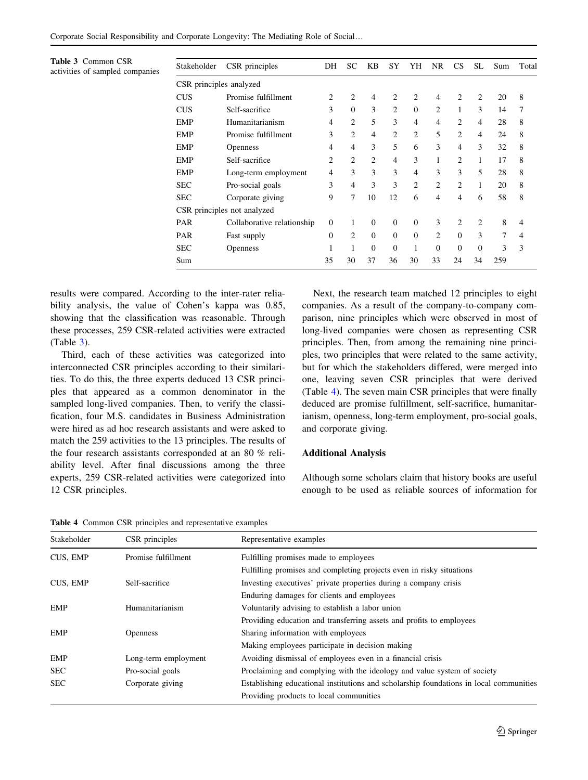| CSR principles analyzed<br>$\overline{2}$<br>2<br>2<br>2<br>2<br>Promise fulfillment<br>2<br>$\overline{4}$<br>$\overline{4}$<br>20<br><b>CUS</b><br>$\Omega$<br>3<br>3<br>2<br>$\theta$<br>3<br>2<br>$\mathbf{1}$<br><b>CUS</b><br>Self-sacrifice<br>14<br>5<br>2<br>3<br>2<br>28<br><b>EMP</b><br>Humanitarianism<br>$\overline{4}$<br>4<br>$\overline{4}$<br>4<br>$\overline{2}$<br>$\overline{c}$<br>$\overline{c}$<br>5<br>2<br>3<br>$\overline{4}$<br>$\overline{4}$<br>24<br><b>EMP</b><br>Promise fulfillment<br>3<br>5<br>$\overline{4}$<br>3<br>3<br>6<br>$\overline{4}$<br>32<br><b>EMP</b><br>4<br><b>Openness</b><br>$\overline{2}$<br>$\overline{c}$<br>3<br>2<br><b>EMP</b><br>Self-sacrifice<br>2<br>1<br>$\mathbf{1}$<br>17<br>4<br>3<br>3<br>5<br>3<br>4<br>3<br>3<br>28<br><b>EMP</b><br>4<br>Long-term employment<br>3<br>3<br>$\overline{c}$<br>3<br>$\overline{4}$<br>2<br>2<br><b>SEC</b><br>20<br>Pro-social goals<br>1<br>9<br>$\tau$<br>10<br>12<br>58<br><b>SEC</b><br>4<br>$\overline{4}$<br>6<br>6<br>Corporate giving |                |
|-----------------------------------------------------------------------------------------------------------------------------------------------------------------------------------------------------------------------------------------------------------------------------------------------------------------------------------------------------------------------------------------------------------------------------------------------------------------------------------------------------------------------------------------------------------------------------------------------------------------------------------------------------------------------------------------------------------------------------------------------------------------------------------------------------------------------------------------------------------------------------------------------------------------------------------------------------------------------------------------------------------------------------------------------------|----------------|
|                                                                                                                                                                                                                                                                                                                                                                                                                                                                                                                                                                                                                                                                                                                                                                                                                                                                                                                                                                                                                                                     |                |
|                                                                                                                                                                                                                                                                                                                                                                                                                                                                                                                                                                                                                                                                                                                                                                                                                                                                                                                                                                                                                                                     | 8              |
|                                                                                                                                                                                                                                                                                                                                                                                                                                                                                                                                                                                                                                                                                                                                                                                                                                                                                                                                                                                                                                                     | 7              |
|                                                                                                                                                                                                                                                                                                                                                                                                                                                                                                                                                                                                                                                                                                                                                                                                                                                                                                                                                                                                                                                     | 8              |
|                                                                                                                                                                                                                                                                                                                                                                                                                                                                                                                                                                                                                                                                                                                                                                                                                                                                                                                                                                                                                                                     | 8              |
|                                                                                                                                                                                                                                                                                                                                                                                                                                                                                                                                                                                                                                                                                                                                                                                                                                                                                                                                                                                                                                                     | 8              |
|                                                                                                                                                                                                                                                                                                                                                                                                                                                                                                                                                                                                                                                                                                                                                                                                                                                                                                                                                                                                                                                     | 8              |
|                                                                                                                                                                                                                                                                                                                                                                                                                                                                                                                                                                                                                                                                                                                                                                                                                                                                                                                                                                                                                                                     | 8              |
|                                                                                                                                                                                                                                                                                                                                                                                                                                                                                                                                                                                                                                                                                                                                                                                                                                                                                                                                                                                                                                                     | 8              |
|                                                                                                                                                                                                                                                                                                                                                                                                                                                                                                                                                                                                                                                                                                                                                                                                                                                                                                                                                                                                                                                     | 8              |
| CSR principles not analyzed                                                                                                                                                                                                                                                                                                                                                                                                                                                                                                                                                                                                                                                                                                                                                                                                                                                                                                                                                                                                                         |                |
| 8<br>3<br>2<br>PAR<br>$\Omega$<br>$\mathbf{0}$<br>$\mathbf{0}$<br>2<br>$\mathbf{0}$<br>1<br>Collaborative relationship                                                                                                                                                                                                                                                                                                                                                                                                                                                                                                                                                                                                                                                                                                                                                                                                                                                                                                                              | 4              |
| 3<br>2<br>$\mathbf{0}$<br>$\mathbf{0}$<br>$\mathbf{0}$<br>$\overline{c}$<br>$\theta$<br>7<br>$\mathbf{0}$<br>PAR<br>Fast supply                                                                                                                                                                                                                                                                                                                                                                                                                                                                                                                                                                                                                                                                                                                                                                                                                                                                                                                     | $\overline{4}$ |
| $\Omega$<br>$\mathbf{0}$<br>$\theta$<br>3<br><b>SEC</b><br>$\Omega$<br>$\Omega$<br>1<br><b>Openness</b>                                                                                                                                                                                                                                                                                                                                                                                                                                                                                                                                                                                                                                                                                                                                                                                                                                                                                                                                             | 3              |
| 33<br>35<br>30<br>37<br>36<br>30<br>24<br>34<br>259<br>Sum                                                                                                                                                                                                                                                                                                                                                                                                                                                                                                                                                                                                                                                                                                                                                                                                                                                                                                                                                                                          |                |

results were compared. According to the inter-rater reliability analysis, the value of Cohen's kappa was 0.85, showing that the classification was reasonable. Through these processes, 259 CSR-related activities were extracted (Table 3).

Third, each of these activities was categorized into interconnected CSR principles according to their similarities. To do this, the three experts deduced 13 CSR principles that appeared as a common denominator in the sampled long-lived companies. Then, to verify the classification, four M.S. candidates in Business Administration were hired as ad hoc research assistants and were asked to match the 259 activities to the 13 principles. The results of the four research assistants corresponded at an 80 % reliability level. After final discussions among the three experts, 259 CSR-related activities were categorized into 12 CSR principles.

Next, the research team matched 12 principles to eight companies. As a result of the company-to-company comparison, nine principles which were observed in most of long-lived companies were chosen as representing CSR principles. Then, from among the remaining nine principles, two principles that were related to the same activity, but for which the stakeholders differed, were merged into one, leaving seven CSR principles that were derived (Table 4). The seven main CSR principles that were finally deduced are promise fulfillment, self-sacrifice, humanitarianism, openness, long-term employment, pro-social goals, and corporate giving.

#### Additional Analysis

Although some scholars claim that history books are useful enough to be used as reliable sources of information for

Table 4 Common CSR principles and representative examples

| Stakeholder | CSR principles       | Representative examples                                                                |
|-------------|----------------------|----------------------------------------------------------------------------------------|
| CUS, EMP    | Promise fulfillment  | Fulfilling promises made to employees                                                  |
|             |                      | Fulfilling promises and completing projects even in risky situations                   |
| CUS, EMP    | Self-sacrifice       | Investing executives' private properties during a company crisis                       |
|             |                      | Enduring damages for clients and employees                                             |
| EMP         | Humanitarianism      | Voluntarily advising to establish a labor union                                        |
|             |                      | Providing education and transferring assets and profits to employees                   |
| <b>EMP</b>  | <b>Openness</b>      | Sharing information with employees                                                     |
|             |                      | Making employees participate in decision making                                        |
| <b>EMP</b>  | Long-term employment | Avoiding dismissal of employees even in a financial crisis                             |
| <b>SEC</b>  | Pro-social goals     | Proclaiming and complying with the ideology and value system of society                |
| <b>SEC</b>  | Corporate giving     | Establishing educational institutions and scholarship foundations in local communities |
|             |                      | Providing products to local communities                                                |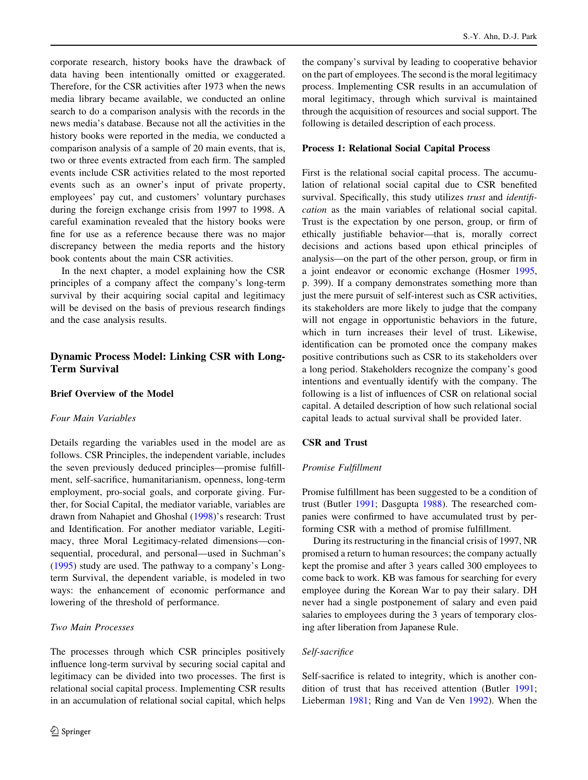<span id="page-9-0"></span>corporate research, history books have the drawback of data having been intentionally omitted or exaggerated. Therefore, for the CSR activities after 1973 when the news media library became available, we conducted an online search to do a comparison analysis with the records in the news media's database. Because not all the activities in the history books were reported in the media, we conducted a comparison analysis of a sample of 20 main events, that is, two or three events extracted from each firm. The sampled events include CSR activities related to the most reported events such as an owner's input of private property, employees' pay cut, and customers' voluntary purchases during the foreign exchange crisis from 1997 to 1998. A careful examination revealed that the history books were fine for use as a reference because there was no major discrepancy between the media reports and the history book contents about the main CSR activities.

In the next chapter, a model explaining how the CSR principles of a company affect the company's long-term survival by their acquiring social capital and legitimacy will be devised on the basis of previous research findings and the case analysis results.

# Dynamic Process Model: Linking CSR with Long-Term Survival

# Brief Overview of the Model

#### Four Main Variables

Details regarding the variables used in the model are as follows. CSR Principles, the independent variable, includes the seven previously deduced principles—promise fulfillment, self-sacrifice, humanitarianism, openness, long-term employment, pro-social goals, and corporate giving. Further, for Social Capital, the mediator variable, variables are drawn from Nahapiet and Ghoshal [\(1998\)](#page-17-0)'s research: Trust and Identification. For another mediator variable, Legitimacy, three Moral Legitimacy-related dimensions—consequential, procedural, and personal—used in Suchman's [\(1995](#page-17-0)) study are used. The pathway to a company's Longterm Survival, the dependent variable, is modeled in two ways: the enhancement of economic performance and lowering of the threshold of performance.

# Two Main Processes

The processes through which CSR principles positively influence long-term survival by securing social capital and legitimacy can be divided into two processes. The first is relational social capital process. Implementing CSR results in an accumulation of relational social capital, which helps

the company's survival by leading to cooperative behavior on the part of employees. The second is the moral legitimacy process. Implementing CSR results in an accumulation of moral legitimacy, through which survival is maintained through the acquisition of resources and social support. The following is detailed description of each process.

#### Process 1: Relational Social Capital Process

First is the relational social capital process. The accumulation of relational social capital due to CSR benefited survival. Specifically, this study utilizes trust and *identifi*cation as the main variables of relational social capital. Trust is the expectation by one person, group, or firm of ethically justifiable behavior—that is, morally correct decisions and actions based upon ethical principles of analysis—on the part of the other person, group, or firm in a joint endeavor or economic exchange (Hosmer [1995,](#page-16-0) p. 399). If a company demonstrates something more than just the mere pursuit of self-interest such as CSR activities, its stakeholders are more likely to judge that the company will not engage in opportunistic behaviors in the future, which in turn increases their level of trust. Likewise, identification can be promoted once the company makes positive contributions such as CSR to its stakeholders over a long period. Stakeholders recognize the company's good intentions and eventually identify with the company. The following is a list of influences of CSR on relational social capital. A detailed description of how such relational social capital leads to actual survival shall be provided later.

## CSR and Trust

#### Promise Fulfillment

Promise fulfillment has been suggested to be a condition of trust (Butler [1991;](#page-16-0) Dasgupta [1988\)](#page-16-0). The researched companies were confirmed to have accumulated trust by performing CSR with a method of promise fulfillment.

During its restructuring in the financial crisis of 1997, NR promised a return to human resources; the company actually kept the promise and after 3 years called 300 employees to come back to work. KB was famous for searching for every employee during the Korean War to pay their salary. DH never had a single postponement of salary and even paid salaries to employees during the 3 years of temporary closing after liberation from Japanese Rule.

## Self-sacrifice

Self-sacrifice is related to integrity, which is another condition of trust that has received attention (Butler [1991](#page-16-0); Lieberman [1981](#page-17-0); Ring and Van de Ven [1992\)](#page-17-0). When the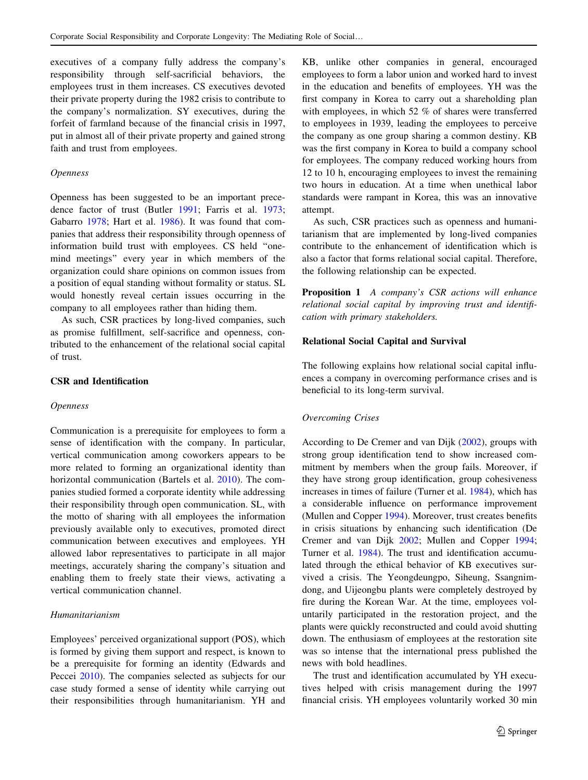executives of a company fully address the company's responsibility through self-sacrificial behaviors, the employees trust in them increases. CS executives devoted their private property during the 1982 crisis to contribute to the company's normalization. SY executives, during the forfeit of farmland because of the financial crisis in 1997, put in almost all of their private property and gained strong faith and trust from employees.

#### Openness

Openness has been suggested to be an important precedence factor of trust (Butler [1991;](#page-16-0) Farris et al. [1973](#page-16-0); Gabarro [1978;](#page-16-0) Hart et al. [1986](#page-16-0)). It was found that companies that address their responsibility through openness of information build trust with employees. CS held ''onemind meetings'' every year in which members of the organization could share opinions on common issues from a position of equal standing without formality or status. SL would honestly reveal certain issues occurring in the company to all employees rather than hiding them.

As such, CSR practices by long-lived companies, such as promise fulfillment, self-sacrifice and openness, contributed to the enhancement of the relational social capital of trust.

# CSR and Identification

#### Openness

Communication is a prerequisite for employees to form a sense of identification with the company. In particular, vertical communication among coworkers appears to be more related to forming an organizational identity than horizontal communication (Bartels et al. [2010](#page-15-0)). The companies studied formed a corporate identity while addressing their responsibility through open communication. SL, with the motto of sharing with all employees the information previously available only to executives, promoted direct communication between executives and employees. YH allowed labor representatives to participate in all major meetings, accurately sharing the company's situation and enabling them to freely state their views, activating a vertical communication channel.

## Humanitarianism

Employees' perceived organizational support (POS), which is formed by giving them support and respect, is known to be a prerequisite for forming an identity (Edwards and Peccei [2010\)](#page-16-0). The companies selected as subjects for our case study formed a sense of identity while carrying out their responsibilities through humanitarianism. YH and

KB, unlike other companies in general, encouraged employees to form a labor union and worked hard to invest in the education and benefits of employees. YH was the first company in Korea to carry out a shareholding plan with employees, in which 52 % of shares were transferred to employees in 1939, leading the employees to perceive the company as one group sharing a common destiny. KB was the first company in Korea to build a company school for employees. The company reduced working hours from 12 to 10 h, encouraging employees to invest the remaining two hours in education. At a time when unethical labor standards were rampant in Korea, this was an innovative attempt.

As such, CSR practices such as openness and humanitarianism that are implemented by long-lived companies contribute to the enhancement of identification which is also a factor that forms relational social capital. Therefore, the following relationship can be expected.

Proposition 1 A company's CSR actions will enhance relational social capital by improving trust and identification with primary stakeholders.

## Relational Social Capital and Survival

The following explains how relational social capital influences a company in overcoming performance crises and is beneficial to its long-term survival.

#### Overcoming Crises

According to De Cremer and van Dijk ([2002\)](#page-16-0), groups with strong group identification tend to show increased commitment by members when the group fails. Moreover, if they have strong group identification, group cohesiveness increases in times of failure (Turner et al. [1984](#page-17-0)), which has a considerable influence on performance improvement (Mullen and Copper [1994\)](#page-17-0). Moreover, trust creates benefits in crisis situations by enhancing such identification (De Cremer and van Dijk [2002](#page-16-0); Mullen and Copper [1994](#page-17-0); Turner et al. [1984\)](#page-17-0). The trust and identification accumulated through the ethical behavior of KB executives survived a crisis. The Yeongdeungpo, Siheung, Ssangnimdong, and Uijeongbu plants were completely destroyed by fire during the Korean War. At the time, employees voluntarily participated in the restoration project, and the plants were quickly reconstructed and could avoid shutting down. The enthusiasm of employees at the restoration site was so intense that the international press published the news with bold headlines.

The trust and identification accumulated by YH executives helped with crisis management during the 1997 financial crisis. YH employees voluntarily worked 30 min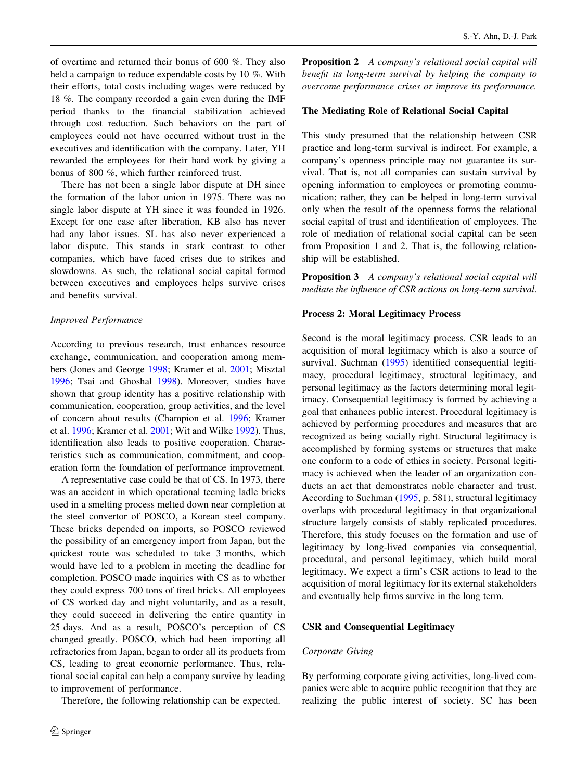of overtime and returned their bonus of 600 %. They also held a campaign to reduce expendable costs by 10 %. With their efforts, total costs including wages were reduced by 18 %. The company recorded a gain even during the IMF period thanks to the financial stabilization achieved through cost reduction. Such behaviors on the part of employees could not have occurred without trust in the executives and identification with the company. Later, YH rewarded the employees for their hard work by giving a bonus of 800 %, which further reinforced trust.

There has not been a single labor dispute at DH since the formation of the labor union in 1975. There was no single labor dispute at YH since it was founded in 1926. Except for one case after liberation, KB also has never had any labor issues. SL has also never experienced a labor dispute. This stands in stark contrast to other companies, which have faced crises due to strikes and slowdowns. As such, the relational social capital formed between executives and employees helps survive crises and benefits survival.

#### Improved Performance

According to previous research, trust enhances resource exchange, communication, and cooperation among members (Jones and George [1998;](#page-16-0) Kramer et al. [2001](#page-17-0); Misztal [1996;](#page-17-0) Tsai and Ghoshal [1998](#page-17-0)). Moreover, studies have shown that group identity has a positive relationship with communication, cooperation, group activities, and the level of concern about results (Champion et al. [1996](#page-16-0); Kramer et al. [1996;](#page-16-0) Kramer et al. [2001](#page-17-0); Wit and Wilke [1992\)](#page-17-0). Thus, identification also leads to positive cooperation. Characteristics such as communication, commitment, and cooperation form the foundation of performance improvement.

A representative case could be that of CS. In 1973, there was an accident in which operational teeming ladle bricks used in a smelting process melted down near completion at the steel convertor of POSCO, a Korean steel company. These bricks depended on imports, so POSCO reviewed the possibility of an emergency import from Japan, but the quickest route was scheduled to take 3 months, which would have led to a problem in meeting the deadline for completion. POSCO made inquiries with CS as to whether they could express 700 tons of fired bricks. All employees of CS worked day and night voluntarily, and as a result, they could succeed in delivering the entire quantity in 25 days. And as a result, POSCO's perception of CS changed greatly. POSCO, which had been importing all refractories from Japan, began to order all its products from CS, leading to great economic performance. Thus, relational social capital can help a company survive by leading to improvement of performance.

Therefore, the following relationship can be expected.

**Proposition 2** A company's relational social capital will benefit its long-term survival by helping the company to overcome performance crises or improve its performance.

#### The Mediating Role of Relational Social Capital

This study presumed that the relationship between CSR practice and long-term survival is indirect. For example, a company's openness principle may not guarantee its survival. That is, not all companies can sustain survival by opening information to employees or promoting communication; rather, they can be helped in long-term survival only when the result of the openness forms the relational social capital of trust and identification of employees. The role of mediation of relational social capital can be seen from Proposition 1 and 2. That is, the following relationship will be established.

Proposition 3 A company's relational social capital will mediate the influence of CSR actions on long-term survival.

#### Process 2: Moral Legitimacy Process

Second is the moral legitimacy process. CSR leads to an acquisition of moral legitimacy which is also a source of survival. Suchman [\(1995](#page-17-0)) identified consequential legitimacy, procedural legitimacy, structural legitimacy, and personal legitimacy as the factors determining moral legitimacy. Consequential legitimacy is formed by achieving a goal that enhances public interest. Procedural legitimacy is achieved by performing procedures and measures that are recognized as being socially right. Structural legitimacy is accomplished by forming systems or structures that make one conform to a code of ethics in society. Personal legitimacy is achieved when the leader of an organization conducts an act that demonstrates noble character and trust. According to Suchman ([1995,](#page-17-0) p. 581), structural legitimacy overlaps with procedural legitimacy in that organizational structure largely consists of stably replicated procedures. Therefore, this study focuses on the formation and use of legitimacy by long-lived companies via consequential, procedural, and personal legitimacy, which build moral legitimacy. We expect a firm's CSR actions to lead to the acquisition of moral legitimacy for its external stakeholders and eventually help firms survive in the long term.

#### CSR and Consequential Legitimacy

#### Corporate Giving

By performing corporate giving activities, long-lived companies were able to acquire public recognition that they are realizing the public interest of society. SC has been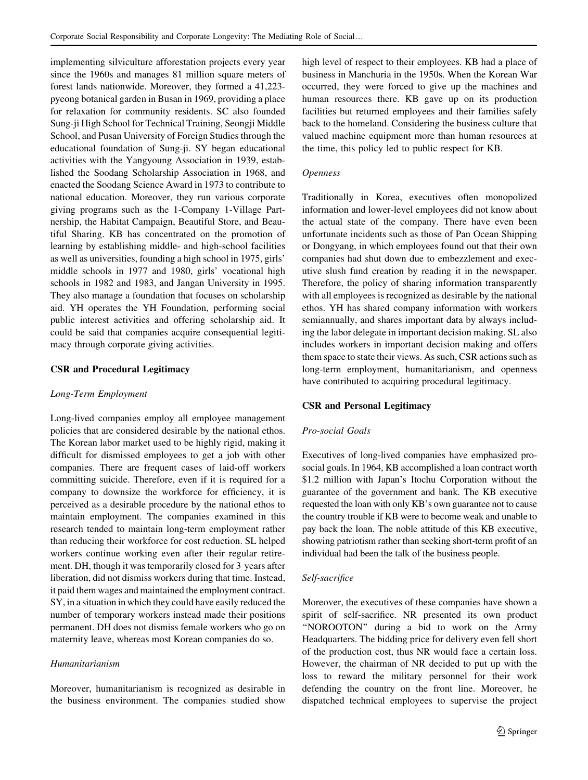implementing silviculture afforestation projects every year since the 1960s and manages 81 million square meters of forest lands nationwide. Moreover, they formed a 41,223 pyeong botanical garden in Busan in 1969, providing a place for relaxation for community residents. SC also founded Sung-ji High School for Technical Training, Seongji Middle School, and Pusan University of Foreign Studies through the educational foundation of Sung-ji. SY began educational activities with the Yangyoung Association in 1939, established the Soodang Scholarship Association in 1968, and enacted the Soodang Science Award in 1973 to contribute to national education. Moreover, they run various corporate giving programs such as the 1-Company 1-Village Partnership, the Habitat Campaign, Beautiful Store, and Beautiful Sharing. KB has concentrated on the promotion of learning by establishing middle- and high-school facilities as well as universities, founding a high school in 1975, girls' middle schools in 1977 and 1980, girls' vocational high schools in 1982 and 1983, and Jangan University in 1995. They also manage a foundation that focuses on scholarship aid. YH operates the YH Foundation, performing social public interest activities and offering scholarship aid. It could be said that companies acquire consequential legitimacy through corporate giving activities.

## CSR and Procedural Legitimacy

## Long-Term Employment

Long-lived companies employ all employee management policies that are considered desirable by the national ethos. The Korean labor market used to be highly rigid, making it difficult for dismissed employees to get a job with other companies. There are frequent cases of laid-off workers committing suicide. Therefore, even if it is required for a company to downsize the workforce for efficiency, it is perceived as a desirable procedure by the national ethos to maintain employment. The companies examined in this research tended to maintain long-term employment rather than reducing their workforce for cost reduction. SL helped workers continue working even after their regular retirement. DH, though it was temporarily closed for 3 years after liberation, did not dismiss workers during that time. Instead, it paid them wages and maintained the employment contract. SY, in a situation in which they could have easily reduced the number of temporary workers instead made their positions permanent. DH does not dismiss female workers who go on maternity leave, whereas most Korean companies do so.

# Humanitarianism

Moreover, humanitarianism is recognized as desirable in the business environment. The companies studied show high level of respect to their employees. KB had a place of business in Manchuria in the 1950s. When the Korean War occurred, they were forced to give up the machines and human resources there. KB gave up on its production facilities but returned employees and their families safely back to the homeland. Considering the business culture that valued machine equipment more than human resources at the time, this policy led to public respect for KB.

# Openness

Traditionally in Korea, executives often monopolized information and lower-level employees did not know about the actual state of the company. There have even been unfortunate incidents such as those of Pan Ocean Shipping or Dongyang, in which employees found out that their own companies had shut down due to embezzlement and executive slush fund creation by reading it in the newspaper. Therefore, the policy of sharing information transparently with all employees is recognized as desirable by the national ethos. YH has shared company information with workers semiannually, and shares important data by always including the labor delegate in important decision making. SL also includes workers in important decision making and offers them space to state their views. As such, CSR actions such as long-term employment, humanitarianism, and openness have contributed to acquiring procedural legitimacy.

## CSR and Personal Legitimacy

# Pro-social Goals

Executives of long-lived companies have emphasized prosocial goals. In 1964, KB accomplished a loan contract worth \$1.2 million with Japan's Itochu Corporation without the guarantee of the government and bank. The KB executive requested the loan with only KB's own guarantee not to cause the country trouble if KB were to become weak and unable to pay back the loan. The noble attitude of this KB executive, showing patriotism rather than seeking short-term profit of an individual had been the talk of the business people.

# Self-sacrifice

Moreover, the executives of these companies have shown a spirit of self-sacrifice. NR presented its own product ''NOROOTON'' during a bid to work on the Army Headquarters. The bidding price for delivery even fell short of the production cost, thus NR would face a certain loss. However, the chairman of NR decided to put up with the loss to reward the military personnel for their work defending the country on the front line. Moreover, he dispatched technical employees to supervise the project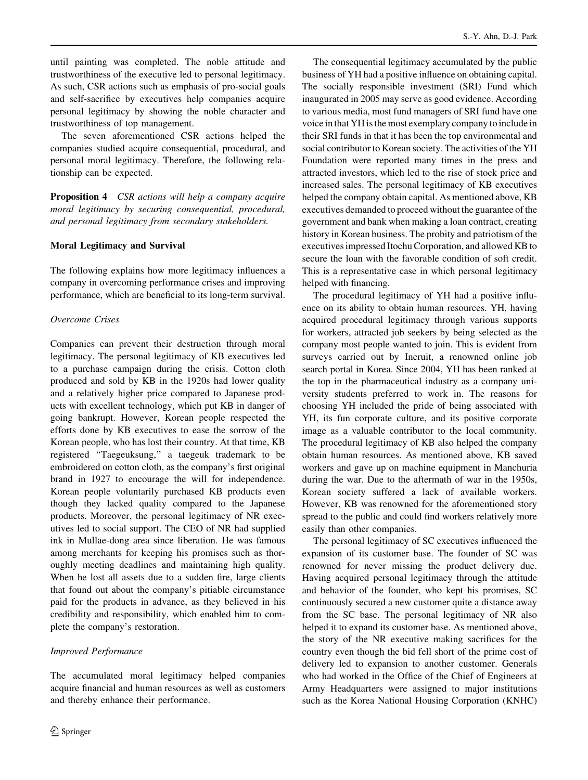until painting was completed. The noble attitude and trustworthiness of the executive led to personal legitimacy. As such, CSR actions such as emphasis of pro-social goals and self-sacrifice by executives help companies acquire personal legitimacy by showing the noble character and trustworthiness of top management.

The seven aforementioned CSR actions helped the companies studied acquire consequential, procedural, and personal moral legitimacy. Therefore, the following relationship can be expected.

**Proposition 4** CSR actions will help a company acquire moral legitimacy by securing consequential, procedural, and personal legitimacy from secondary stakeholders.

## Moral Legitimacy and Survival

The following explains how more legitimacy influences a company in overcoming performance crises and improving performance, which are beneficial to its long-term survival.

# Overcome Crises

Companies can prevent their destruction through moral legitimacy. The personal legitimacy of KB executives led to a purchase campaign during the crisis. Cotton cloth produced and sold by KB in the 1920s had lower quality and a relatively higher price compared to Japanese products with excellent technology, which put KB in danger of going bankrupt. However, Korean people respected the efforts done by KB executives to ease the sorrow of the Korean people, who has lost their country. At that time, KB registered ''Taegeuksung,'' a taegeuk trademark to be embroidered on cotton cloth, as the company's first original brand in 1927 to encourage the will for independence. Korean people voluntarily purchased KB products even though they lacked quality compared to the Japanese products. Moreover, the personal legitimacy of NR executives led to social support. The CEO of NR had supplied ink in Mullae-dong area since liberation. He was famous among merchants for keeping his promises such as thoroughly meeting deadlines and maintaining high quality. When he lost all assets due to a sudden fire, large clients that found out about the company's pitiable circumstance paid for the products in advance, as they believed in his credibility and responsibility, which enabled him to complete the company's restoration.

# Improved Performance

The accumulated moral legitimacy helped companies acquire financial and human resources as well as customers and thereby enhance their performance.

The consequential legitimacy accumulated by the public business of YH had a positive influence on obtaining capital. The socially responsible investment (SRI) Fund which inaugurated in 2005 may serve as good evidence. According to various media, most fund managers of SRI fund have one voice in that YH is the most exemplary company to include in their SRI funds in that it has been the top environmental and social contributor to Korean society. The activities of the YH Foundation were reported many times in the press and attracted investors, which led to the rise of stock price and increased sales. The personal legitimacy of KB executives helped the company obtain capital. As mentioned above, KB executives demanded to proceed without the guarantee of the government and bank when making a loan contract, creating history in Korean business. The probity and patriotism of the executives impressed Itochu Corporation, and allowed KB to secure the loan with the favorable condition of soft credit. This is a representative case in which personal legitimacy helped with financing.

The procedural legitimacy of YH had a positive influence on its ability to obtain human resources. YH, having acquired procedural legitimacy through various supports for workers, attracted job seekers by being selected as the company most people wanted to join. This is evident from surveys carried out by Incruit, a renowned online job search portal in Korea. Since 2004, YH has been ranked at the top in the pharmaceutical industry as a company university students preferred to work in. The reasons for choosing YH included the pride of being associated with YH, its fun corporate culture, and its positive corporate image as a valuable contributor to the local community. The procedural legitimacy of KB also helped the company obtain human resources. As mentioned above, KB saved workers and gave up on machine equipment in Manchuria during the war. Due to the aftermath of war in the 1950s, Korean society suffered a lack of available workers. However, KB was renowned for the aforementioned story spread to the public and could find workers relatively more easily than other companies.

The personal legitimacy of SC executives influenced the expansion of its customer base. The founder of SC was renowned for never missing the product delivery due. Having acquired personal legitimacy through the attitude and behavior of the founder, who kept his promises, SC continuously secured a new customer quite a distance away from the SC base. The personal legitimacy of NR also helped it to expand its customer base. As mentioned above, the story of the NR executive making sacrifices for the country even though the bid fell short of the prime cost of delivery led to expansion to another customer. Generals who had worked in the Office of the Chief of Engineers at Army Headquarters were assigned to major institutions such as the Korea National Housing Corporation (KNHC)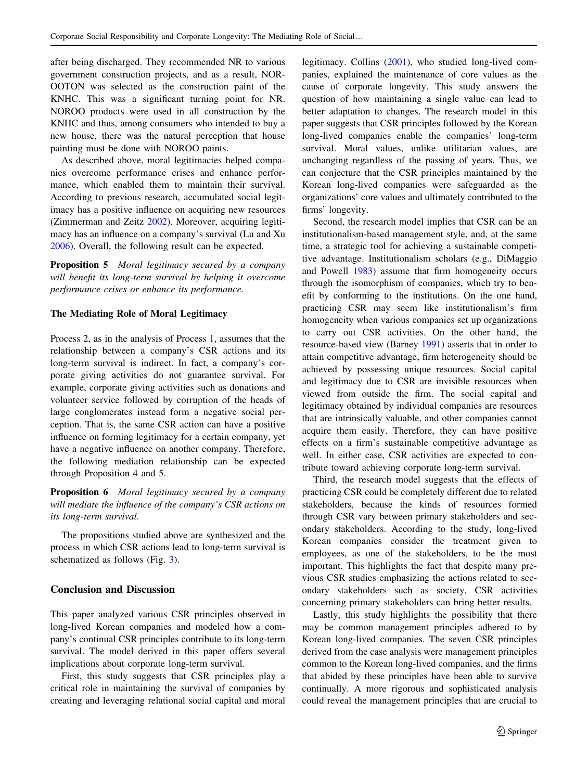<span id="page-14-0"></span>after being discharged. They recommended NR to various government construction projects, and as a result, NOR-OOTON was selected as the construction paint of the KNHC. This was a significant turning point for NR. NOROO products were used in all construction by the KNHC and thus, among consumers who intended to buy a new house, there was the natural perception that house painting must be done with NOROO paints.

As described above, moral legitimacies helped companies overcome performance crises and enhance performance, which enabled them to maintain their survival. According to previous research, accumulated social legitimacy has a positive influence on acquiring new resources (Zimmerman and Zeitz [2002](#page-17-0)). Moreover, acquiring legitimacy has an influence on a company's survival (Lu and Xu [2006\)](#page-17-0). Overall, the following result can be expected.

**Proposition 5** Moral legitimacy secured by a company will benefit its long-term survival by helping it overcome performance crises or enhance its performance.

# The Mediating Role of Moral Legitimacy

Process 2, as in the analysis of Process 1, assumes that the relationship between a company's CSR actions and its long-term survival is indirect. In fact, a company's corporate giving activities do not guarantee survival. For example, corporate giving activities such as donations and volunteer service followed by corruption of the heads of large conglomerates instead form a negative social perception. That is, the same CSR action can have a positive influence on forming legitimacy for a certain company, yet have a negative influence on another company. Therefore, the following mediation relationship can be expected through Proposition 4 and 5.

Proposition 6 Moral legitimacy secured by a company will mediate the influence of the company's CSR actions on its long-term survival.

The propositions studied above are synthesized and the process in which CSR actions lead to long-term survival is schematized as follows (Fig. [3](#page-15-0)).

# Conclusion and Discussion

This paper analyzed various CSR principles observed in long-lived Korean companies and modeled how a company's continual CSR principles contribute to its long-term survival. The model derived in this paper offers several implications about corporate long-term survival.

First, this study suggests that CSR principles play a critical role in maintaining the survival of companies by creating and leveraging relational social capital and moral legitimacy. Collins [\(2001](#page-16-0)), who studied long-lived companies, explained the maintenance of core values as the cause of corporate longevity. This study answers the question of how maintaining a single value can lead to better adaptation to changes. The research model in this paper suggests that CSR principles followed by the Korean long-lived companies enable the companies' long-term survival. Moral values, unlike utilitarian values, are unchanging regardless of the passing of years. Thus, we can conjecture that the CSR principles maintained by the Korean long-lived companies were safeguarded as the organizations' core values and ultimately contributed to the firms' longevity.

Second, the research model implies that CSR can be an institutionalism-based management style, and, at the same time, a strategic tool for achieving a sustainable competitive advantage. Institutionalism scholars (e.g., DiMaggio and Powell [1983\)](#page-16-0) assume that firm homogeneity occurs through the isomorphism of companies, which try to benefit by conforming to the institutions. On the one hand, practicing CSR may seem like institutionalism's firm homogeneity when various companies set up organizations to carry out CSR activities. On the other hand, the resource-based view (Barney [1991](#page-15-0)) asserts that in order to attain competitive advantage, firm heterogeneity should be achieved by possessing unique resources. Social capital and legitimacy due to CSR are invisible resources when viewed from outside the firm. The social capital and legitimacy obtained by individual companies are resources that are intrinsically valuable, and other companies cannot acquire them easily. Therefore, they can have positive effects on a firm's sustainable competitive advantage as well. In either case, CSR activities are expected to contribute toward achieving corporate long-term survival.

Third, the research model suggests that the effects of practicing CSR could be completely different due to related stakeholders, because the kinds of resources formed through CSR vary between primary stakeholders and secondary stakeholders. According to the study, long-lived Korean companies consider the treatment given to employees, as one of the stakeholders, to be the most important. This highlights the fact that despite many previous CSR studies emphasizing the actions related to secondary stakeholders such as society, CSR activities concerning primary stakeholders can bring better results.

Lastly, this study highlights the possibility that there may be common management principles adhered to by Korean long-lived companies. The seven CSR principles derived from the case analysis were management principles common to the Korean long-lived companies, and the firms that abided by these principles have been able to survive continually. A more rigorous and sophisticated analysis could reveal the management principles that are crucial to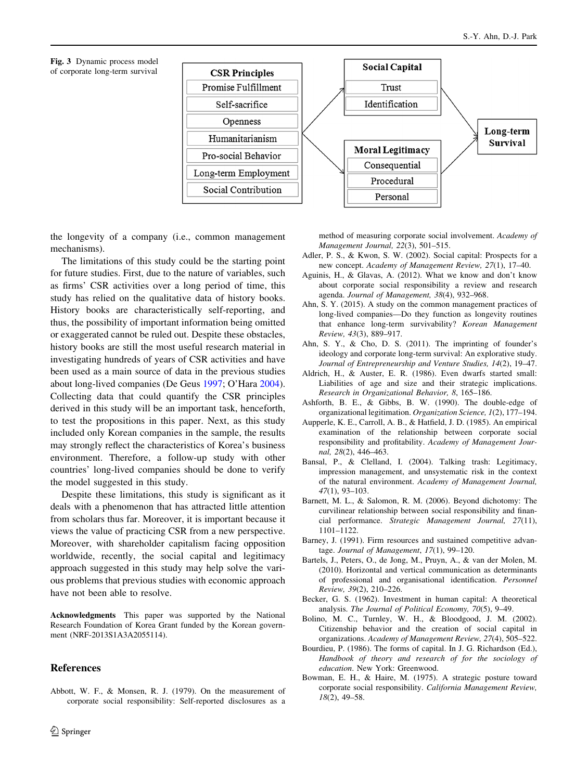<span id="page-15-0"></span>



the longevity of a company (i.e., common management mechanisms).

The limitations of this study could be the starting point for future studies. First, due to the nature of variables, such as firms' CSR activities over a long period of time, this study has relied on the qualitative data of history books. History books are characteristically self-reporting, and thus, the possibility of important information being omitted or exaggerated cannot be ruled out. Despite these obstacles, history books are still the most useful research material in investigating hundreds of years of CSR activities and have been used as a main source of data in the previous studies about long-lived companies (De Geus [1997](#page-16-0); O'Hara [2004](#page-17-0)). Collecting data that could quantify the CSR principles derived in this study will be an important task, henceforth, to test the propositions in this paper. Next, as this study included only Korean companies in the sample, the results may strongly reflect the characteristics of Korea's business environment. Therefore, a follow-up study with other countries' long-lived companies should be done to verify the model suggested in this study.

Despite these limitations, this study is significant as it deals with a phenomenon that has attracted little attention from scholars thus far. Moreover, it is important because it views the value of practicing CSR from a new perspective. Moreover, with shareholder capitalism facing opposition worldwide, recently, the social capital and legitimacy approach suggested in this study may help solve the various problems that previous studies with economic approach have not been able to resolve.

Acknowledgments This paper was supported by the National Research Foundation of Korea Grant funded by the Korean government (NRF-2013S1A3A2055114).

#### References

Abbott, W. F., & Monsen, R. J. (1979). On the measurement of corporate social responsibility: Self-reported disclosures as a method of measuring corporate social involvement. Academy of Management Journal, 22(3), 501–515.

- Adler, P. S., & Kwon, S. W. (2002). Social capital: Prospects for a new concept. Academy of Management Review, 27(1), 17–40.
- Aguinis, H., & Glavas, A. (2012). What we know and don't know about corporate social responsibility a review and research agenda. Journal of Management, 38(4), 932–968.
- Ahn, S. Y. (2015). A study on the common management practices of long-lived companies—Do they function as longevity routines that enhance long-term survivability? Korean Management Review, 43(3), 889–917.
- Ahn, S. Y., & Cho, D. S. (2011). The imprinting of founder's ideology and corporate long-term survival: An explorative study. Journal of Entrepreneurship and Venture Studies, 14(2), 19–47.
- Aldrich, H., & Auster, E. R. (1986). Even dwarfs started small: Liabilities of age and size and their strategic implications. Research in Organizational Behavior, 8, 165–186.
- Ashforth, B. E., & Gibbs, B. W. (1990). The double-edge of organizational legitimation. Organization Science, 1(2), 177–194.
- Aupperle, K. E., Carroll, A. B., & Hatfield, J. D. (1985). An empirical examination of the relationship between corporate social responsibility and profitability. Academy of Management Journal, 28(2), 446–463.
- Bansal, P., & Clelland, I. (2004). Talking trash: Legitimacy, impression management, and unsystematic risk in the context of the natural environment. Academy of Management Journal, 47(1), 93–103.
- Barnett, M. L., & Salomon, R. M. (2006). Beyond dichotomy: The curvilinear relationship between social responsibility and financial performance. Strategic Management Journal, 27(11), 1101–1122.
- Barney, J. (1991). Firm resources and sustained competitive advantage. Journal of Management, 17(1), 99–120.
- Bartels, J., Peters, O., de Jong, M., Pruyn, A., & van der Molen, M. (2010). Horizontal and vertical communication as determinants of professional and organisational identification. Personnel Review, 39(2), 210–226.
- Becker, G. S. (1962). Investment in human capital: A theoretical analysis. The Journal of Political Economy, 70(5), 9–49.
- Bolino, M. C., Turnley, W. H., & Bloodgood, J. M. (2002). Citizenship behavior and the creation of social capital in organizations. Academy of Management Review, 27(4), 505–522.
- Bourdieu, P. (1986). The forms of capital. In J. G. Richardson (Ed.), Handbook of theory and research of for the sociology of education. New York: Greenwood.
- Bowman, E. H., & Haire, M. (1975). A strategic posture toward corporate social responsibility. California Management Review, 18(2), 49–58.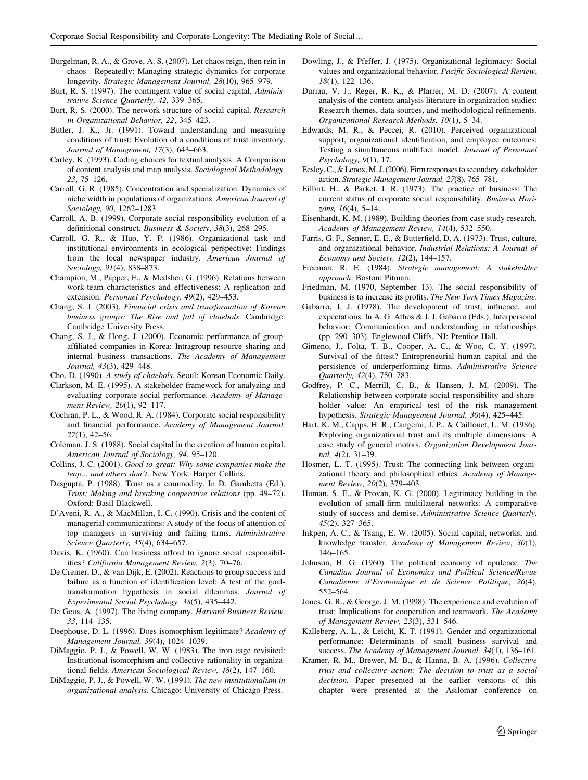- <span id="page-16-0"></span>Burgelman, R. A., & Grove, A. S. (2007). Let chaos reign, then rein in chaos—Repeatedly: Managing strategic dynamics for corporate longevity. Strategic Management Journal, 28(10), 965–979.
- Burt, R. S. (1997). The contingent value of social capital. Administrative Science Quarterly, 42, 339–365.
- Burt, R. S. (2000). The network structure of social capital. Research in Organizational Behavior, 22, 345–423.
- Butler, J. K., Jr. (1991). Toward understanding and measuring conditions of trust: Evolution of a conditions of trust inventory. Journal of Management, 17(3), 643–663.
- Carley, K. (1993). Coding choices for textual analysis: A Comparison of content analysis and map analysis. Sociological Methodology, 23, 75–126.
- Carroll, G. R. (1985). Concentration and specialization: Dynamics of niche width in populations of organizations. American Journal of Sociology, 90, 1262–1283.
- Carroll, A. B. (1999). Corporate social responsibility evolution of a definitional construct. Business & Society, 38(3), 268–295.
- Carroll, G. R., & Huo, Y. P. (1986). Organizational task and institutional environments in ecological perspective: Findings from the local newspaper industry. American Journal of Sociology, 91(4), 838–873.
- Champion, M., Papper, E., & Medsher, G. (1996). Relations between work-team characteristics and effectiveness: A replication and extension. Personnel Psychology, 49(2), 429–453.
- Chang, S. J. (2003). Financial crisis and transformation of Korean business groups: The Rise and fall of chaebols. Cambridge: Cambridge University Press.
- Chang, S. J., & Hong, J. (2000). Economic performance of groupaffiliated companies in Korea: Intragroup resource sharing and internal business transactions. The Academy of Management Journal, 43(3), 429–448.
- Cho, D. (1990). A study of chaebols. Seoul: Korean Economic Daily.
- Clarkson, M. E. (1995). A stakeholder framework for analyzing and evaluating corporate social performance. Academy of Management Review, 20(1), 92–117.
- Cochran, P. L., & Wood, R. A. (1984). Corporate social responsibility and financial performance. Academy of Management Journal, 27(1), 42–56.
- Coleman, J. S. (1988). Social capital in the creation of human capital. American Journal of Sociology, 94, 95–120.
- Collins, J. C. (2001). Good to great: Why some companies make the leap... and others don't. New York: Harper Collins.
- Dasgupta, P. (1988). Trust as a commodity. In D. Gambetta (Ed.), Trust: Making and breaking cooperative relations (pp. 49–72). Oxford: Basil Blackwell.
- D'Aveni, R. A., & MacMillan, I. C. (1990). Crisis and the content of managerial communications: A study of the focus of attention of top managers in surviving and failing firms. Administrative Science Quarterly, 35(4), 634–657.
- Davis, K. (1960). Can business afford to ignore social responsibilities? California Management Review, 2(3), 70–76.
- De Cremer, D., & van Dijk, E. (2002). Reactions to group success and failure as a function of identification level: A test of the goaltransformation hypothesis in social dilemmas. Journal of Experimental Social Psychology, 38(5), 435–442.
- De Geus, A. (1997). The living company. Harvard Business Review, 33, 114–135.
- Deephouse, D. L. (1996). Does isomorphism legitimate? Academy of Management Journal, 39(4), 1024–1039.
- DiMaggio, P. J., & Powell, W. W. (1983). The iron cage revisited: Institutional isomorphism and collective rationality in organizational fields. American Sociological Review, 48(2), 147–160.
- DiMaggio, P. J., & Powell, W. W. (1991). The new institutionalism in organizational analysis. Chicago: University of Chicago Press.
- Dowling, J., & Pfeffer, J. (1975). Organizational legitimacy: Social values and organizational behavior. Pacific Sociological Review, 18(1), 122–136.
- Duriau, V. J., Reger, R. K., & Pfarrer, M. D. (2007). A content analysis of the content analysis literature in organization studies: Research themes, data sources, and methodological refinements. Organizational Research Methods, 10(1), 5–34.
- Edwards, M. R., & Peccei, R. (2010). Perceived organizational support, organizational identification, and employee outcomes: Testing a simultaneous multifoci model. Journal of Personnel Psychology, 9(1), 17.
- Eesley,C., & Lenox,M. J. (2006). Firm responsesto secondary stakeholder action. Strategic Management Journal, 27(8), 765–781.
- Eilbirt, H., & Parket, I. R. (1973). The practice of business: The current status of corporate social responsibility. Business Horizons, 16(4), 5-14.
- Eisenhardt, K. M. (1989). Building theories from case study research. Academy of Management Review, 14(4), 532–550.
- Farris, G. F., Senner, E. E., & Butterfield, D. A. (1973). Trust, culture, and organizational behavior. Industrial Relations: A Journal of Economy and Society, 12(2), 144–157.
- Freeman, R. E. (1984). Strategic management: A stakeholder approach. Boston: Pitman.
- Friedman, M. (1970, September 13). The social responsibility of business is to increase its profits. The New York Times Magazine.
- Gabarro, J. J. (1978). The development of trust, influence, and expectations. In A. G. Athos & J. J. Gabarro (Eds.), Interpersonal behavior: Communication and understanding in relationships (pp. 290–303). Englewood Cliffs, NJ: Prentice Hall.
- Gimeno, J., Folta, T. B., Cooper, A. C., & Woo, C. Y. (1997). Survival of the fittest? Entrepreneurial human capital and the persistence of underperforming firms. Administrative Science Quarterly, 42(4), 750–783.
- Godfrey, P. C., Merrill, C. B., & Hansen, J. M. (2009). The Relationship between corporate social responsibility and shareholder value: An empirical test of the risk management hypothesis. Strategic Management Journal, 30(4), 425–445.
- Hart, K. M., Capps, H. R., Cangemi, J. P., & Caillouet, L. M. (1986). Exploring organizational trust and its multiple dimensions: A case study of general motors. Organization Development Journal, 4(2), 31–39.
- Hosmer, L. T. (1995). Trust: The connecting link between organizational theory and philosophical ethics. Academy of Management Review, 20(2), 379–403.
- Human, S. E., & Provan, K. G. (2000). Legitimacy building in the evolution of small-firm multilateral networks: A comparative study of success and demise. Administrative Science Quarterly, 45(2), 327–365.
- Inkpen, A. C., & Tsang, E. W. (2005). Social capital, networks, and knowledge transfer. Academy of Management Review, 30(1), 146–165.
- Johnson, H. G. (1960). The political economy of opulence. The Canadian Journal of Economics and Political Science/Revue Canadienne d'Economique et de Science Politique, 26(4), 552–564.
- Jones, G. R., & George, J. M. (1998). The experience and evolution of trust: Implications for cooperation and teamwork. The Academy of Management Review, 23(3), 531–546.
- Kalleberg, A. L., & Leicht, K. T. (1991). Gender and organizational performance: Determinants of small business survival and success. The Academy of Management Journal, 34(1), 136–161.
- Kramer, R. M., Brewer, M. B., & Hanna, B. A. (1996). Collective trust and collective action: The decision to trust as a social decision. Paper presented at the earlier versions of this chapter were presented at the Asilomar conference on